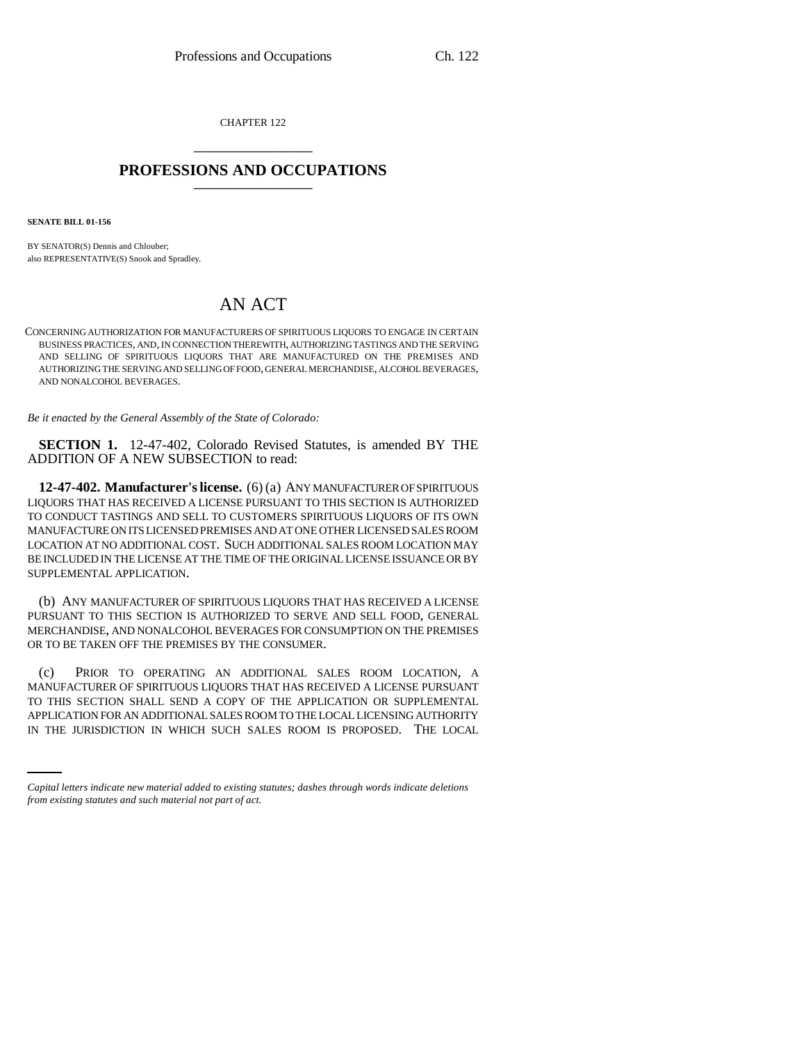CHAPTER 122 \_\_\_\_\_\_\_\_\_\_\_\_\_\_\_

## **PROFESSIONS AND OCCUPATIONS** \_\_\_\_\_\_\_\_\_\_\_\_\_\_\_

**SENATE BILL 01-156**

BY SENATOR(S) Dennis and Chlouber; also REPRESENTATIVE(S) Snook and Spradley.

## AN ACT

CONCERNING AUTHORIZATION FOR MANUFACTURERS OF SPIRITUOUS LIQUORS TO ENGAGE IN CERTAIN BUSINESS PRACTICES, AND, IN CONNECTION THEREWITH, AUTHORIZING TASTINGS AND THE SERVING AND SELLING OF SPIRITUOUS LIQUORS THAT ARE MANUFACTURED ON THE PREMISES AND AUTHORIZING THE SERVING AND SELLING OF FOOD, GENERAL MERCHANDISE, ALCOHOL BEVERAGES, AND NONALCOHOL BEVERAGES.

*Be it enacted by the General Assembly of the State of Colorado:*

**SECTION 1.** 12-47-402, Colorado Revised Statutes, is amended BY THE ADDITION OF A NEW SUBSECTION to read:

**12-47-402. Manufacturer's license.** (6) (a) ANY MANUFACTURER OF SPIRITUOUS LIQUORS THAT HAS RECEIVED A LICENSE PURSUANT TO THIS SECTION IS AUTHORIZED TO CONDUCT TASTINGS AND SELL TO CUSTOMERS SPIRITUOUS LIQUORS OF ITS OWN MANUFACTURE ON ITS LICENSED PREMISES AND AT ONE OTHER LICENSED SALES ROOM LOCATION AT NO ADDITIONAL COST. SUCH ADDITIONAL SALES ROOM LOCATION MAY BE INCLUDED IN THE LICENSE AT THE TIME OF THE ORIGINAL LICENSE ISSUANCE OR BY SUPPLEMENTAL APPLICATION.

(b) ANY MANUFACTURER OF SPIRITUOUS LIQUORS THAT HAS RECEIVED A LICENSE PURSUANT TO THIS SECTION IS AUTHORIZED TO SERVE AND SELL FOOD, GENERAL MERCHANDISE, AND NONALCOHOL BEVERAGES FOR CONSUMPTION ON THE PREMISES OR TO BE TAKEN OFF THE PREMISES BY THE CONSUMER.

TO THIS SECTION SHALL SEND A COPY OF THE APPLICATION OR SUPPLEMENTAL (c) PRIOR TO OPERATING AN ADDITIONAL SALES ROOM LOCATION, A MANUFACTURER OF SPIRITUOUS LIQUORS THAT HAS RECEIVED A LICENSE PURSUANT APPLICATION FOR AN ADDITIONAL SALES ROOM TO THE LOCAL LICENSING AUTHORITY IN THE JURISDICTION IN WHICH SUCH SALES ROOM IS PROPOSED. THE LOCAL

*Capital letters indicate new material added to existing statutes; dashes through words indicate deletions from existing statutes and such material not part of act.*